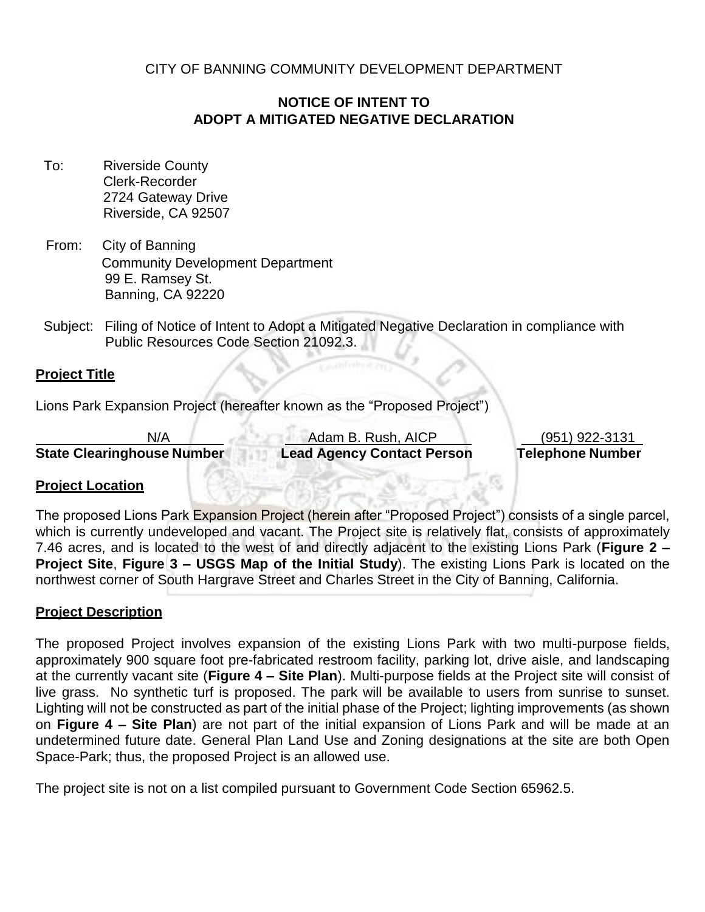CITY OF BANNING COMMUNITY DEVELOPMENT DEPARTMENT

## **NOTICE OF INTENT TO ADOPT A MITIGATED NEGATIVE DECLARATION**

- To: Riverside County Clerk-Recorder 2724 Gateway Drive Riverside, CA 92507
- From: City of Banning Community Development Department 99 E. Ramsey St. Banning, CA 92220
- Subject: Filing of Notice of Intent to Adopt a Mitigated Negative Declaration in compliance with Public Resources Code Section 21092.3.

### **Project Title**

Lions Park Expansion Project (hereafter known as the "Proposed Project")

**State Clearinghouse Number Lead Agency Contact Person Telephone Number**

N/A Adam B. Rush, AICP (951) 922-3131

### **Project Location**

The proposed Lions Park Expansion Project (herein after "Proposed Project") consists of a single parcel, which is currently undeveloped and vacant. The Project site is relatively flat, consists of approximately 7.46 acres, and is located to the west of and directly adjacent to the existing Lions Park (**Figure 2 – Project Site**, **Figure 3 – USGS Map of the Initial Study**). The existing Lions Park is located on the northwest corner of South Hargrave Street and Charles Street in the City of Banning, California.

### **Project Description**

The proposed Project involves expansion of the existing Lions Park with two multi-purpose fields, approximately 900 square foot pre-fabricated restroom facility, parking lot, drive aisle, and landscaping at the currently vacant site (**Figure 4 – Site Plan**). Multi-purpose fields at the Project site will consist of live grass. No synthetic turf is proposed. The park will be available to users from sunrise to sunset. Lighting will not be constructed as part of the initial phase of the Project; lighting improvements (as shown on **Figure 4 – Site Plan**) are not part of the initial expansion of Lions Park and will be made at an undetermined future date. General Plan Land Use and Zoning designations at the site are both Open Space-Park; thus, the proposed Project is an allowed use.

The project site is not on a list compiled pursuant to Government Code Section 65962.5.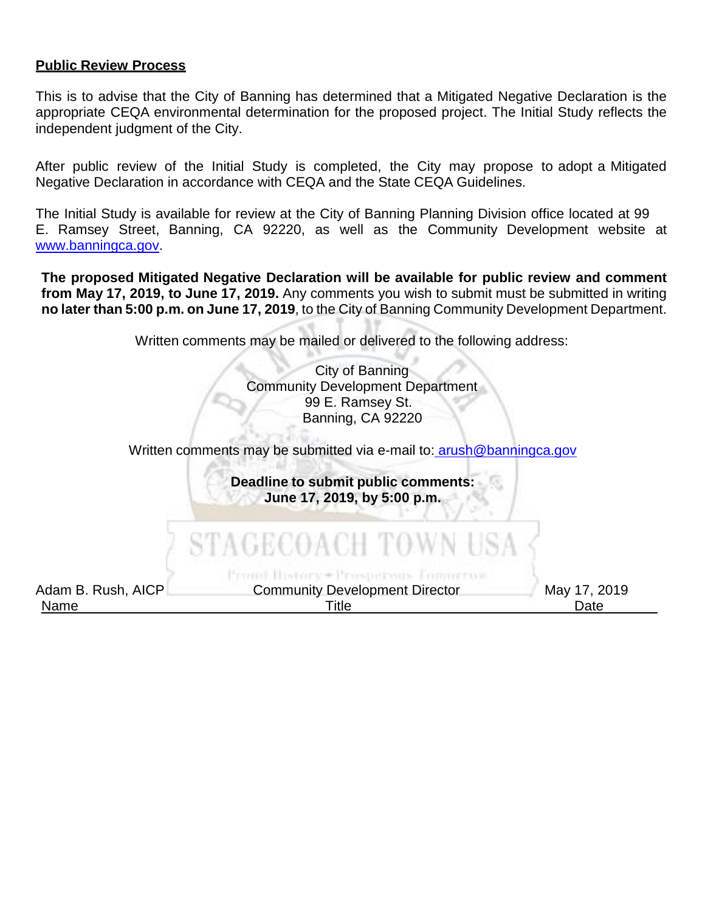#### **Public Review Process**

This is to advise that the City of Banning has determined that a Mitigated Negative Declaration is the appropriate CEQA environmental determination for the proposed project. The Initial Study reflects the independent judgment of the City.

After public review of the Initial Study is completed, the City may propose to adopt a Mitigated Negative Declaration in accordance with CEQA and the State CEQA Guidelines.

The Initial Study is available for review at the City of Banning Planning Division office located at 99 E. Ramsey Street, Banning, CA 92220, as well as the Community Development website at [www.banningca.gov.](http://www.banningca.gov/)

**The proposed Mitigated Negative Declaration will be available for public review and comment from May 17, 2019, to June 17, 2019.** Any comments you wish to submit must be submitted in writing **no later than 5:00 p.m. on June 17, 2019**, to the City of Banning Community Development Department.

Written comments may be mailed or delivered to the following address:

City of Banning Community Development Department 99 E. Ramsey St. Banning, CA 92220

Written comments may be submitted via e-mail to: [arush@banningca.gov](mailto:%20arush@banningca.gov)

**Deadline to submit public comments: June 17, 2019, by 5:00 p.m.**